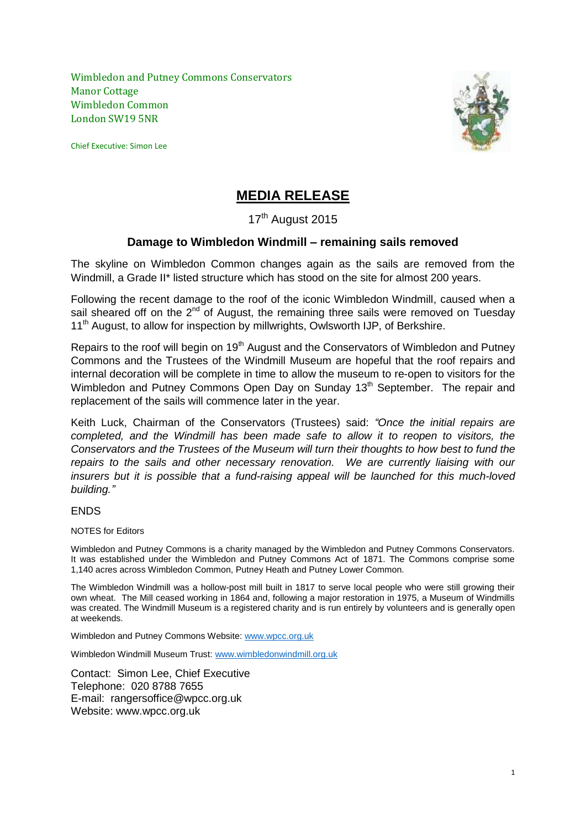Wimbledon and Putney Commons Conservators Manor Cottage Wimbledon Common London SW19 5NR

Chief Executive: Simon Lee



# **MEDIA RELEASE**

## 17<sup>th</sup> August 2015

## **Damage to Wimbledon Windmill – remaining sails removed**

The skyline on Wimbledon Common changes again as the sails are removed from the Windmill, a Grade II\* listed structure which has stood on the site for almost 200 years.

Following the recent damage to the roof of the iconic Wimbledon Windmill, caused when a sail sheared off on the  $2<sup>nd</sup>$  of August, the remaining three sails were removed on Tuesday 11<sup>th</sup> August, to allow for inspection by millwrights, Owlsworth IJP, of Berkshire.

Repairs to the roof will begin on 19<sup>th</sup> August and the Conservators of Wimbledon and Putney Commons and the Trustees of the Windmill Museum are hopeful that the roof repairs and internal decoration will be complete in time to allow the museum to re-open to visitors for the Wimbledon and Putney Commons Open Day on Sunday 13<sup>th</sup> September. The repair and replacement of the sails will commence later in the year.

Keith Luck, Chairman of the Conservators (Trustees) said: *"Once the initial repairs are completed, and the Windmill has been made safe to allow it to reopen to visitors, the Conservators and the Trustees of the Museum will turn their thoughts to how best to fund the repairs to the sails and other necessary renovation. We are currently liaising with our insurers but it is possible that a fund-raising appeal will be launched for this much-loved building."*

### ENDS

#### NOTES for Editors

Wimbledon and Putney Commons is a charity managed by the Wimbledon and Putney Commons Conservators. It was established under the Wimbledon and Putney Commons Act of 1871. The Commons comprise some 1,140 acres across Wimbledon Common, Putney Heath and Putney Lower Common.

The Wimbledon Windmill was a hollow-post mill built in 1817 to serve local people who were still growing their own wheat. The Mill ceased working in 1864 and, following a major restoration in 1975, a Museum of Windmills was created. The Windmill Museum is a registered charity and is run entirely by volunteers and is generally open at weekends.

Wimbledon and Putney Commons Website[: www.wpcc.org.uk](http://www.wpcc.org.uk/)

Wimbledon Windmill Museum Trust: [www.wimbledonwindmill.org.uk](http://www.wimbledonwindmill.org.uk/)

Contact: Simon Lee, Chief Executive Telephone: 020 8788 7655 E-mail: rangersoffice@wpcc.org.uk Website: www.wpcc.org.uk